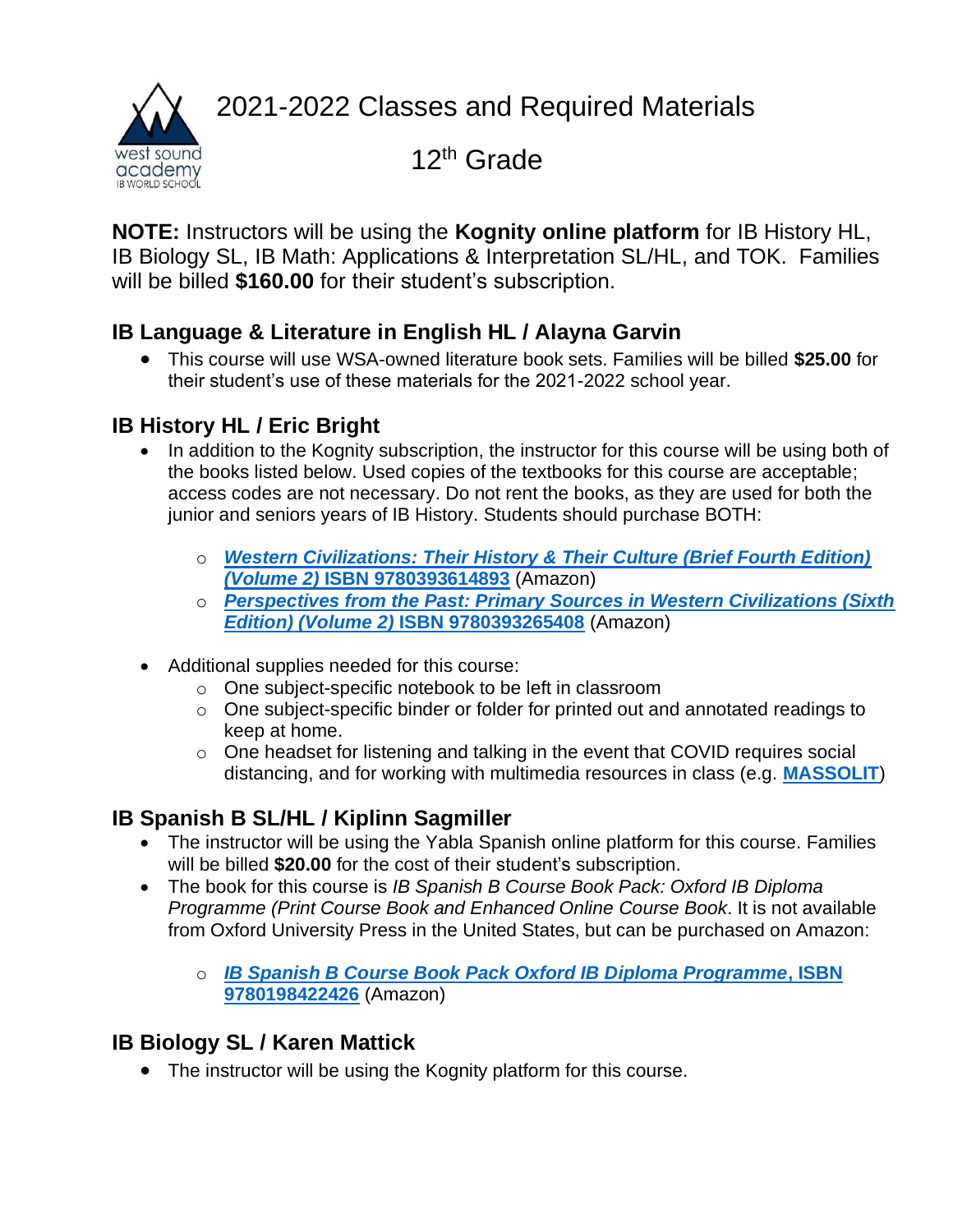2021-2022 Classes and Required Materials



12<sup>th</sup> Grade

**NOTE:** Instructors will be using the **Kognity online platform** for IB History HL, IB Biology SL, IB Math: Applications & Interpretation SL/HL, and TOK. Families will be billed **\$160.00** for their student's subscription.

## **IB Language & Literature in English HL / Alayna Garvin**

• This course will use WSA-owned literature book sets. Families will be billed **\$25.00** for their student's use of these materials for the 2021-2022 school year.

# **IB History HL / Eric Bright**

- In addition to the Kognity subscription, the instructor for this course will be using both of the books listed below. Used copies of the textbooks for this course are acceptable; access codes are not necessary. Do not rent the books, as they are used for both the junior and seniors years of IB History. Students should purchase BOTH:
	- o *[Western Civilizations: Their History & Their Culture \(Brief Fourth Edition\)](https://smile.amazon.com/gp/offer-listing/0393614891/ref=olp_f_used?ie=UTF8&f_new=true&f_usedAcceptable=true&f_usedGood=true&f_used=true&f_usedLikeNew=true&f_usedVeryGood=true)  (Volume 2)* **[ISBN 9780393614893](https://smile.amazon.com/gp/offer-listing/0393614891/ref=olp_f_used?ie=UTF8&f_new=true&f_usedAcceptable=true&f_usedGood=true&f_used=true&f_usedLikeNew=true&f_usedVeryGood=true)** (Amazon)
	- o *[Perspectives from the Past: Primary Sources in Western Civilizations \(Sixth](https://smile.amazon.com/gp/offer-listing/0393265404/ref=olp_f_new?ie=UTF8&f_used=true&f_usedLikeNew=true&f_usedVeryGood=true&f_usedGood=true&f_usedAcceptable=true&f_new=true)  Edition) (Volume 2)* **[ISBN 9780393265408](https://smile.amazon.com/gp/offer-listing/0393265404/ref=olp_f_new?ie=UTF8&f_used=true&f_usedLikeNew=true&f_usedVeryGood=true&f_usedGood=true&f_usedAcceptable=true&f_new=true)** (Amazon)
- Additional supplies needed for this course:
	- o One subject-specific notebook to be left in classroom
	- o One subject-specific binder or folder for printed out and annotated readings to keep at home.
	- o One headset for listening and talking in the event that COVID requires social distancing, and for working with multimedia resources in class (e.g. **[MASSOLIT](https://massolit.io/)**)

# **IB Spanish B SL/HL / Kiplinn Sagmiller**

- The instructor will be using the Yabla Spanish online platform for this course. Families will be billed **\$20.00** for the cost of their student's subscription.
- The book for this course is *IB Spanish B Course Book Pack: Oxford IB Diploma Programme (Print Course Book and Enhanced Online Course Book*. It is not available from Oxford University Press in the United States, but can be purchased on Amazon:
	- o *[IB Spanish B Course Book Pack Oxford IB Diploma Programme](https://smile.amazon.com/Spanish-Course-Book-Pack-Programme/dp/0198422423/ref=sr_1_1?dchild=1&keywords=9780198422426&qid=1593627926&sr=8-1)***, ISBN [9780198422426](https://smile.amazon.com/Spanish-Course-Book-Pack-Programme/dp/0198422423/ref=sr_1_1?dchild=1&keywords=9780198422426&qid=1593627926&sr=8-1)** (Amazon)

# **IB Biology SL / Karen Mattick**

• The instructor will be using the Kognity platform for this course.